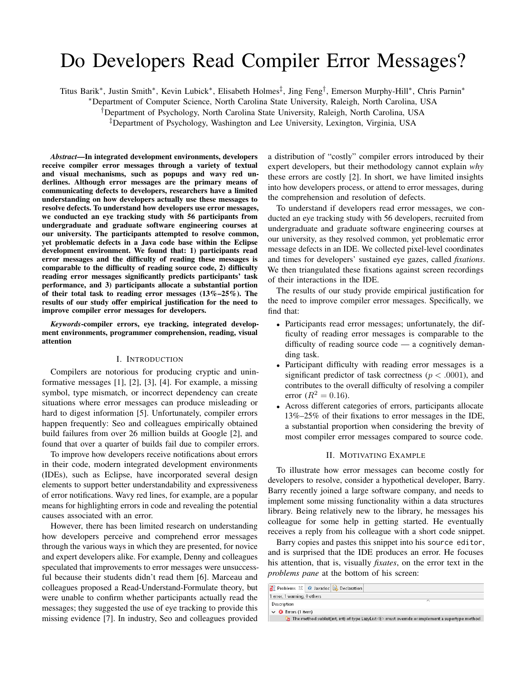# Do Developers Read Compiler Error Messages?

Titus Barik\*, Justin Smith\*, Kevin Lubick\*, Elisabeth Holmes<sup>‡</sup>, Jing Feng<sup>†</sup>, Emerson Murphy-Hill\*, Chris Parnin\*

<sup>∗</sup>Department of Computer Science, North Carolina State University, Raleigh, North Carolina, USA

†Department of Psychology, North Carolina State University, Raleigh, North Carolina, USA

‡Department of Psychology, Washington and Lee University, Lexington, Virginia, USA

*Abstract*—In integrated development environments, developers receive compiler error messages through a variety of textual and visual mechanisms, such as popups and wavy red underlines. Although error messages are the primary means of communicating defects to developers, researchers have a limited understanding on how developers actually use these messages to resolve defects. To understand how developers use error messages, we conducted an eye tracking study with 56 participants from undergraduate and graduate software engineering courses at our university. The participants attempted to resolve common, yet problematic defects in a Java code base within the Eclipse development environment. We found that: 1) participants read error messages and the difficulty of reading these messages is comparable to the difficulty of reading source code, 2) difficulty reading error messages significantly predicts participants' task performance, and 3) participants allocate a substantial portion of their total task to reading error messages  $(13\% - 25\%)$ . The results of our study offer empirical justification for the need to improve compiler error messages for developers.

*Keywords*-compiler errors, eye tracking, integrated development environments, programmer comprehension, reading, visual attention

#### I. INTRODUCTION

Compilers are notorious for producing cryptic and uninformative messages [1], [2], [3], [4]. For example, a missing symbol, type mismatch, or incorrect dependency can create situations where error messages can produce misleading or hard to digest information [5]. Unfortunately, compiler errors happen frequently: Seo and colleagues empirically obtained build failures from over 26 million builds at Google [2], and found that over a quarter of builds fail due to compiler errors.

To improve how developers receive notifications about errors in their code, modern integrated development environments (IDEs), such as Eclipse, have incorporated several design elements to support better understandability and expressiveness of error notifications. Wavy red lines, for example, are a popular means for highlighting errors in code and revealing the potential causes associated with an error.

However, there has been limited research on understanding how developers perceive and comprehend error messages through the various ways in which they are presented, for novice and expert developers alike. For example, Denny and colleagues speculated that improvements to error messages were unsuccessful because their students didn't read them [6]. Marceau and colleagues proposed a Read-Understand-Formulate theory, but were unable to confirm whether participants actually read the messages; they suggested the use of eye tracking to provide this missing evidence [7]. In industry, Seo and colleagues provided

a distribution of "costly" compiler errors introduced by their expert developers, but their methodology cannot explain *why* these errors are costly [2]. In short, we have limited insights into how developers process, or attend to error messages, during the comprehension and resolution of defects.

To understand if developers read error messages, we conducted an eye tracking study with 56 developers, recruited from undergraduate and graduate software engineering courses at our university, as they resolved common, yet problematic error message defects in an IDE. We collected pixel-level coordinates and times for developers' sustained eye gazes, called *fixations*. We then triangulated these fixations against screen recordings of their interactions in the IDE.

The results of our study provide empirical justification for the need to improve compiler error messages. Specifically, we find that:

- Participants read error messages; unfortunately, the difficulty of reading error messages is comparable to the difficulty of reading source code — a cognitively demanding task.
- Participant difficulty with reading error messages is a significant predictor of task correctness ( $p < .0001$ ), and contributes to the overall difficulty of resolving a compiler error  $(R^2 = 0.16)$ .
- Across different categories of errors, participants allocate 13%–25% of their fixations to error messages in the IDE, a substantial proportion when considering the brevity of most compiler error messages compared to source code.

#### II. MOTIVATING EXAMPLE

To illustrate how error messages can become costly for developers to resolve, consider a hypothetical developer, Barry. Barry recently joined a large software company, and needs to implement some missing functionality within a data structures library. Being relatively new to the library, he messages his colleague for some help in getting started. He eventually receives a reply from his colleague with a short code snippet.

Barry copies and pastes this snippet into his source editor, and is surprised that the IDE produces an error. He focuses his attention, that is, visually *fixates*, on the error text in the *problems pane* at the bottom of his screen:

| <b>Problems <math>\mathbb{Z}</math> @</b> Javadoc <b>B</b> Declaration |                                                                                                                  |
|------------------------------------------------------------------------|------------------------------------------------------------------------------------------------------------------|
| 1 error, 1 warning, 0 others                                           |                                                                                                                  |
| Description                                                            |                                                                                                                  |
| $\vee$ <b>@</b> Errors (1 item)                                        |                                                                                                                  |
|                                                                        | $Q_{\rm II}$ The method sublist(int, int) of type LazyList <e> must override or implement a supertype method</e> |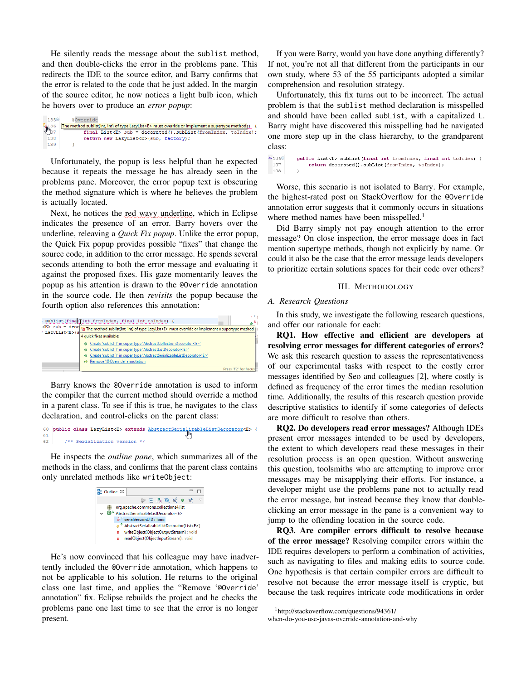He silently reads the message about the sublist method, and then double-clicks the error in the problems pane. This redirects the IDE to the source editor, and Barry confirms that the error is related to the code that he just added. In the margin of the source editor, he now notices a light bulb icon, which he hovers over to produce an *error popup*:

| $135^\circ$       | @Override                                                                                                |  |
|-------------------|----------------------------------------------------------------------------------------------------------|--|
| $\frac{136}{157}$ | The method sublist(int, int) of type LazyList <e> must override or implement a supertype method(s) {</e> |  |
|                   | final List <e> sub = decorated().subList(fromIndex, toIndex);</e>                                        |  |
| 138               | return new LazyList <e>(sub, factory);</e>                                                               |  |
| 139               |                                                                                                          |  |

Unfortunately, the popup is less helpful than he expected because it repeats the message he has already seen in the problems pane. Moreover, the error popup text is obscuring the method signature which is where he believes the problem is actually located.

Next, he notices the red wavy underline, which in Eclipse indicates the presence of an error. Barry hovers over the underline, releaving a *Quick Fix popup*. Unlike the error popup, the Quick Fix popup provides possible "fixes" that change the source code, in addition to the error message. He spends several seconds attending to both the error message and evaluating it against the proposed fixes. His gaze momentarily leaves the popup as his attention is drawn to the @Override annotation in the source code. He then *revisits* the popup because the fourth option also references this annotation:

|                       | sublist(final)int fromIndex, final int toIndex)                                                                                                                                                                                                                | ٠                    |
|-----------------------|----------------------------------------------------------------------------------------------------------------------------------------------------------------------------------------------------------------------------------------------------------------|----------------------|
| / LazyList <e>(s)</e> | : <e> sub = deco<mark>ng The method sublist(int, int) of type LazyList<e> must override or implement a supertype method</e></mark><br/>4 quick fixes available:</e>                                                                                            |                      |
|                       | Create 'sublist()' in super type 'AbstractCollectionDecorator <e>'<br/>• Create 'sublist()' in super type 'AbstractListDecorator<e>'<br/>Create 'sublist()' in super type 'AbstractSerializableListDecorator<e>'<br/>Remove '@Override' annotation</e></e></e> |                      |
|                       |                                                                                                                                                                                                                                                                | Press 'F2' for focus |

Barry knows the @Override annotation is used to inform the compiler that the current method should override a method in a parent class. To see if this is true, he navigates to the class declaration, and control-clicks on the parent class:

```
60 public class LazyList<E> extends AbstractSerializableListDecorator<E> {
       /** Serialization version */
62
```
He inspects the *outline pane*, which summarizes all of the methods in the class, and confirms that the parent class contains only unrelated methods like writeObject:



He's now convinced that his colleague may have inadvertently included the @Override annotation, which happens to not be applicable to his solution. He returns to the original class one last time, and applies the "Remove '@Override' annotation" fix. Eclipse rebuilds the project and he checks the problems pane one last time to see that the error is no longer present.

If you were Barry, would you have done anything differently? If not, you're not all that different from the participants in our own study, where 53 of the 55 participants adopted a similar comprehension and resolution strategy.

Unfortunately, this fix turns out to be incorrect. The actual problem is that the sublist method declaration is misspelled and should have been called subList, with a capitalized L. Barry might have discovered this misspelling had he navigated one more step up in the class hierarchy, to the grandparent class:

 $\triangle$ 1066 public List<E> subList(final int fromIndex, final int toIndex) { 107 return decorated().subList(fromIndex, toIndex); 108

Worse, this scenario is not isolated to Barry. For example, the highest-rated post on StackOverflow for the @Override annotation error suggests that it commonly occurs in situations where method names have been misspelled.<sup>1</sup>

Did Barry simply not pay enough attention to the error message? On close inspection, the error message does in fact mention supertype methods, though not explicitly by name. Or could it also be the case that the error message leads developers to prioritize certain solutions spaces for their code over others?

## III. METHODOLOGY

## *A. Research Questions*

In this study, we investigate the following research questions, and offer our rationale for each:

RQ1. How effective and efficient are developers at resolving error messages for different categories of errors? We ask this research question to assess the representativeness of our experimental tasks with respect to the costly error messages identified by Seo and colleagues [2], where costly is defined as frequency of the error times the median resolution time. Additionally, the results of this research question provide descriptive statistics to identify if some categories of defects are more difficult to resolve than others.

RQ2. Do developers read error messages? Although IDEs present error messages intended to be used by developers, the extent to which developers read these messages in their resolution process is an open question. Without answering this question, toolsmiths who are attempting to improve error messages may be misapplying their efforts. For instance, a developer might use the problems pane not to actually read the error message, but instead because they know that doubleclicking an error message in the pane is a convenient way to jump to the offending location in the source code.

RQ3. Are compiler errors difficult to resolve because of the error message? Resolving compiler errors within the IDE requires developers to perform a combination of activities, such as navigating to files and making edits to source code. One hypothesis is that certain compiler errors are difficult to resolve not because the error message itself is cryptic, but because the task requires intricate code modifications in order

<sup>1</sup>http://stackoverflow.com/questions/94361/ when-do-you-use-javas-override-annotation-and-why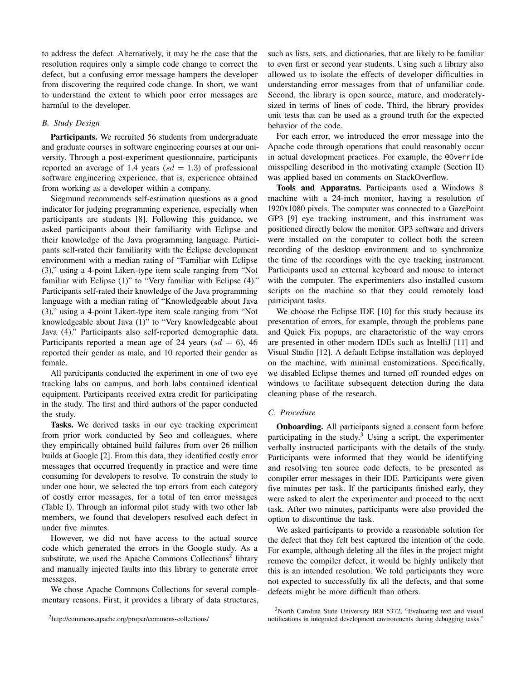to address the defect. Alternatively, it may be the case that the resolution requires only a simple code change to correct the defect, but a confusing error message hampers the developer from discovering the required code change. In short, we want to understand the extent to which poor error messages are harmful to the developer.

## *B. Study Design*

Participants. We recruited 56 students from undergraduate and graduate courses in software engineering courses at our university. Through a post-experiment questionnaire, participants reported an average of 1.4 years  $sd = 1.3$  of professional software engineering experience, that is, experience obtained from working as a developer within a company.

Siegmund recommends self-estimation questions as a good indicator for judging programming experience, especially when participants are students [8]. Following this guidance, we asked participants about their familiarity with Eclipse and their knowledge of the Java programming language. Participants self-rated their familiarity with the Eclipse development environment with a median rating of "Familiar with Eclipse (3)," using a 4-point Likert-type item scale ranging from "Not familiar with Eclipse (1)" to "Very familiar with Eclipse (4)." Participants self-rated their knowledge of the Java programming language with a median rating of "Knowledgeable about Java (3)," using a 4-point Likert-type item scale ranging from "Not knowledgeable about Java (1)" to "Very knowledgeable about Java (4)." Participants also self-reported demographic data. Participants reported a mean age of 24 years  $sd = 6$ ), 46 reported their gender as male, and 10 reported their gender as female.

All participants conducted the experiment in one of two eye tracking labs on campus, and both labs contained identical equipment. Participants received extra credit for participating in the study. The first and third authors of the paper conducted the study.

Tasks. We derived tasks in our eye tracking experiment from prior work conducted by Seo and colleagues, where they empirically obtained build failures from over 26 million builds at Google [2]. From this data, they identified costly error messages that occurred frequently in practice and were time consuming for developers to resolve. To constrain the study to under one hour, we selected the top errors from each category of costly error messages, for a total of ten error messages (Table I). Through an informal pilot study with two other lab members, we found that developers resolved each defect in under five minutes.

However, we did not have access to the actual source code which generated the errors in the Google study. As a substitute, we used the Apache Commons Collections<sup>2</sup> library and manually injected faults into this library to generate error messages.

We chose Apache Commons Collections for several complementary reasons. First, it provides a library of data structures,

such as lists, sets, and dictionaries, that are likely to be familiar to even first or second year students. Using such a library also allowed us to isolate the effects of developer difficulties in understanding error messages from that of unfamiliar code. Second, the library is open source, mature, and moderatelysized in terms of lines of code. Third, the library provides unit tests that can be used as a ground truth for the expected behavior of the code.

For each error, we introduced the error message into the Apache code through operations that could reasonably occur in actual development practices. For example, the @Override misspelling described in the motivating example (Section II) was applied based on comments on StackOverflow.

Tools and Apparatus. Participants used a Windows 8 machine with a 24-inch monitor, having a resolution of 1920x1080 pixels. The computer was connected to a GazePoint GP3 [9] eye tracking instrument, and this instrument was positioned directly below the monitor. GP3 software and drivers were installed on the computer to collect both the screen recording of the desktop environment and to synchronize the time of the recordings with the eye tracking instrument. Participants used an external keyboard and mouse to interact with the computer. The experimenters also installed custom scripts on the machine so that they could remotely load participant tasks.

We choose the Eclipse IDE [10] for this study because its presentation of errors, for example, through the problems pane and Quick Fix popups, are characteristic of the way errors are presented in other modern IDEs such as IntelliJ [11] and Visual Studio [12]. A default Eclipse installation was deployed on the machine, with minimal customizations. Specifically, we disabled Eclipse themes and turned off rounded edges on windows to facilitate subsequent detection during the data cleaning phase of the research.

#### *C. Procedure*

Onboarding. All participants signed a consent form before participating in the study.<sup>3</sup> Using a script, the experimenter verbally instructed participants with the details of the study. Participants were informed that they would be identifying and resolving ten source code defects, to be presented as compiler error messages in their IDE. Participants were given five minutes per task. If the participants finished early, they were asked to alert the experimenter and proceed to the next task. After two minutes, participants were also provided the option to discontinue the task.

We asked participants to provide a reasonable solution for the defect that they felt best captured the intention of the code. For example, although deleting all the files in the project might remove the compiler defect, it would be highly unlikely that this is an intended resolution. We told participants they were not expected to successfully fix all the defects, and that some defects might be more difficult than others.

<sup>2</sup>http://commons.apache.org/proper/commons-collections/

<sup>&</sup>lt;sup>3</sup>North Carolina State University IRB 5372, "Evaluating text and visual notifications in integrated development environments during debugging tasks."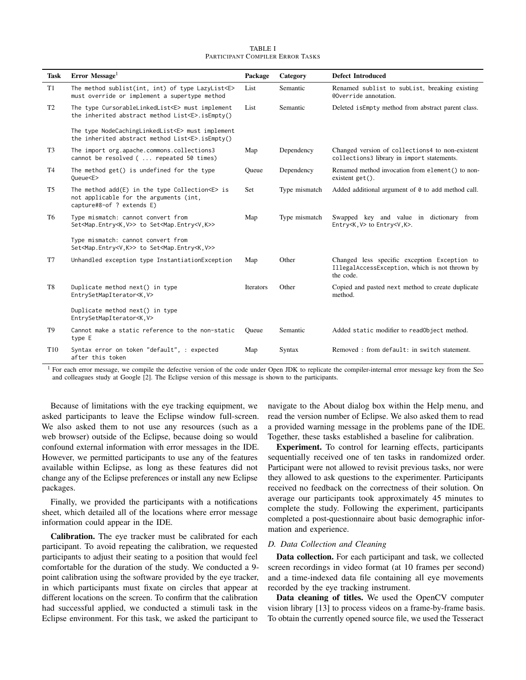|                                  | <b>TABLE I</b> |  |
|----------------------------------|----------------|--|
| PARTICIPANT COMPILER ERROR TASKS |                |  |

| <b>Task</b>     | Error Message <sup>1</sup>                                                                                                    | Package   | Category      | <b>Defect Introduced</b>                                                                                    |
|-----------------|-------------------------------------------------------------------------------------------------------------------------------|-----------|---------------|-------------------------------------------------------------------------------------------------------------|
| T1              | The method sublist(int, int) of type LazyList <e><br/>must override or implement a supertype method</e>                       | List      | Semantic      | Renamed sublist to sublist, breaking existing<br>@Override annotation.                                      |
| T2              | The type CursorableLinkedList <e> must implement<br/>the inherited abstract method List<e>.isEmpty()</e></e>                  | List      | Semantic      | Deleted is Empty method from abstract parent class.                                                         |
|                 | The type NodeCachingLinkedList <e> must implement<br/>the inherited abstract method List<e>.isEmpty()</e></e>                 |           |               |                                                                                                             |
| T <sub>3</sub>  | The import org.apache.commons.collections3<br>cannot be resolved (  repeated 50 times)                                        | Map       | Dependency    | Changed version of collections4 to non-existent<br>collections3 library in import statements.               |
| T4              | The method get() is undefined for the type<br>Queue <e></e>                                                                   | Oueue     | Dependency    | Renamed method invocation from element () to non-<br>existent $get()$ .                                     |
| T <sub>5</sub>  | The method $add(E)$ in the type Collection $\le$ is<br>not applicable for the arguments (int,<br>capture#8-of ? extends E)    | Set       | Type mismatch | Added additional argument of 0 to add method call.                                                          |
| T <sub>6</sub>  | Type mismatch: cannot convert from<br>Set <map.entry<k, v="">&gt; to Set<map.entry<v, k="">&gt;</map.entry<v,></map.entry<k,> | Map       | Type mismatch | Swapped key and value in dictionary from<br>Entry <k, v=""> to Entry<v, k="">.</v,></k,>                    |
|                 | Type mismatch: cannot convert from<br>Set <map.entry<v.k>&gt; to Set<map.entry<k.v>&gt;</map.entry<k.v></map.entry<v.k>       |           |               |                                                                                                             |
| T7              | Unhandled exception type InstantiationException                                                                               | Map       | Other         | Changed less specific exception Exception to<br>IllegalAccessException, which is not thrown by<br>the code. |
| T8              | Duplicate method next() in type<br>EntrySetMapIterator <k, v=""></k,>                                                         | Iterators | Other         | Copied and pasted next method to create duplicate<br>method.                                                |
|                 | Duplicate method next() in type<br>EntrySetMapIterator <k, v=""></k,>                                                         |           |               |                                                                                                             |
| T <sub>9</sub>  | Cannot make a static reference to the non-static<br>type E                                                                    | Oueue     | Semantic      | Added static modifier to readObject method.                                                                 |
| T <sub>10</sub> | Syntax error on token "default", : expected<br>after this token                                                               | Map       | Syntax        | Removed: from default: in switch statement.                                                                 |

<sup>1</sup> For each error message, we compile the defective version of the code under Open JDK to replicate the compiler-internal error message key from the Seo and colleagues study at Google [2]. The Eclipse version of this message is shown to the participants.

Because of limitations with the eye tracking equipment, we asked participants to leave the Eclipse window full-screen. We also asked them to not use any resources (such as a web browser) outside of the Eclipse, because doing so would confound external information with error messages in the IDE. However, we permitted participants to use any of the features available within Eclipse, as long as these features did not change any of the Eclipse preferences or install any new Eclipse packages.

Finally, we provided the participants with a notifications sheet, which detailed all of the locations where error message information could appear in the IDE.

Calibration. The eye tracker must be calibrated for each participant. To avoid repeating the calibration, we requested participants to adjust their seating to a position that would feel comfortable for the duration of the study. We conducted a 9 point calibration using the software provided by the eye tracker, in which participants must fixate on circles that appear at different locations on the screen. To confirm that the calibration had successful applied, we conducted a stimuli task in the Eclipse environment. For this task, we asked the participant to

navigate to the About dialog box within the Help menu, and read the version number of Eclipse. We also asked them to read a provided warning message in the problems pane of the IDE. Together, these tasks established a baseline for calibration.

Experiment. To control for learning effects, participants sequentially received one of ten tasks in randomized order. Participant were not allowed to revisit previous tasks, nor were they allowed to ask questions to the experimenter. Participants received no feedback on the correctness of their solution. On average our participants took approximately 45 minutes to complete the study. Following the experiment, participants completed a post-questionnaire about basic demographic information and experience.

## *D. Data Collection and Cleaning*

Data collection. For each participant and task, we collected screen recordings in video format (at 10 frames per second) and a time-indexed data file containing all eye movements recorded by the eye tracking instrument.

Data cleaning of titles. We used the OpenCV computer vision library [13] to process videos on a frame-by-frame basis. To obtain the currently opened source file, we used the Tesseract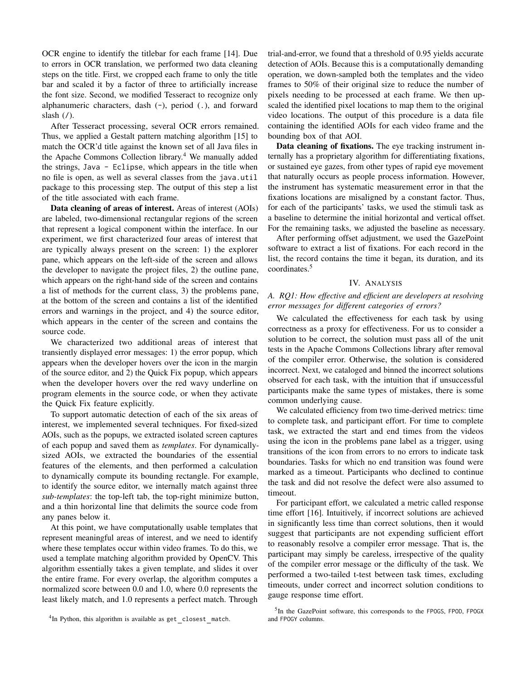OCR engine to identify the titlebar for each frame [14]. Due to errors in OCR translation, we performed two data cleaning steps on the title. First, we cropped each frame to only the title bar and scaled it by a factor of three to artificially increase the font size. Second, we modified Tesseract to recognize only alphanumeric characters, dash (-), period (.), and forward slash  $($ <sup> $\prime$  $)$ </sup>.

After Tesseract processing, several OCR errors remained. Thus, we applied a Gestalt pattern matching algorithm [15] to match the OCR'd title against the known set of all Java files in the Apache Commons Collection library.<sup>4</sup> We manually added the strings, Java - Eclipse, which appears in the title when no file is open, as well as several classes from the java.util package to this processing step. The output of this step a list of the title associated with each frame.

Data cleaning of areas of interest. Areas of interest (AOIs) are labeled, two-dimensional rectangular regions of the screen that represent a logical component within the interface. In our experiment, we first characterized four areas of interest that are typically always present on the screen: 1) the explorer pane, which appears on the left-side of the screen and allows the developer to navigate the project files, 2) the outline pane, which appears on the right-hand side of the screen and contains a list of methods for the current class, 3) the problems pane, at the bottom of the screen and contains a list of the identified errors and warnings in the project, and 4) the source editor, which appears in the center of the screen and contains the source code.

We characterized two additional areas of interest that transiently displayed error messages: 1) the error popup, which appears when the developer hovers over the icon in the margin of the source editor, and 2) the Quick Fix popup, which appears when the developer hovers over the red wavy underline on program elements in the source code, or when they activate the Quick Fix feature explicitly.

To support automatic detection of each of the six areas of interest, we implemented several techniques. For fixed-sized AOIs, such as the popups, we extracted isolated screen captures of each popup and saved them as *templates*. For dynamicallysized AOIs, we extracted the boundaries of the essential features of the elements, and then performed a calculation to dynamically compute its bounding rectangle. For example, to identify the source editor, we internally match against three *sub-templates*: the top-left tab, the top-right minimize button, and a thin horizontal line that delimits the source code from any panes below it.

At this point, we have computationally usable templates that represent meaningful areas of interest, and we need to identify where these templates occur within video frames. To do this, we used a template matching algorithm provided by OpenCV. This algorithm essentially takes a given template, and slides it over the entire frame. For every overlap, the algorithm computes a normalized score between 0.0 and 1.0, where 0.0 represents the least likely match, and 1.0 represents a perfect match. Through trial-and-error, we found that a threshold of 0.95 yields accurate detection of AOIs. Because this is a computationally demanding operation, we down-sampled both the templates and the video frames to 50% of their original size to reduce the number of pixels needing to be processed at each frame. We then upscaled the identified pixel locations to map them to the original video locations. The output of this procedure is a data file containing the identified AOIs for each video frame and the bounding box of that AOI.

Data cleaning of fixations. The eye tracking instrument internally has a proprietary algorithm for differentiating fixations, or sustained eye gazes, from other types of rapid eye movement that naturally occurs as people process information. However, the instrument has systematic measurement error in that the fixations locations are misaligned by a constant factor. Thus, for each of the participants' tasks, we used the stimuli task as a baseline to determine the initial horizontal and vertical offset. For the remaining tasks, we adjusted the baseline as necessary.

After performing offset adjustment, we used the GazePoint software to extract a list of fixations. For each record in the list, the record contains the time it began, its duration, and its coordinates.<sup>5</sup>

## IV. ANALYSIS

# *A. RQ1: How effective and efficient are developers at resolving error messages for different categories of errors?*

We calculated the effectiveness for each task by using correctness as a proxy for effectiveness. For us to consider a solution to be correct, the solution must pass all of the unit tests in the Apache Commons Collections library after removal of the compiler error. Otherwise, the solution is considered incorrect. Next, we cataloged and binned the incorrect solutions observed for each task, with the intuition that if unsuccessful participants make the same types of mistakes, there is some common underlying cause.

We calculated efficiency from two time-derived metrics: time to complete task, and participant effort. For time to complete task, we extracted the start and end times from the videos using the icon in the problems pane label as a trigger, using transitions of the icon from errors to no errors to indicate task boundaries. Tasks for which no end transition was found were marked as a timeout. Participants who declined to continue the task and did not resolve the defect were also assumed to timeout.

For participant effort, we calculated a metric called response time effort [16]. Intuitively, if incorrect solutions are achieved in significantly less time than correct solutions, then it would suggest that participants are not expending sufficient effort to reasonably resolve a compiler error message. That is, the participant may simply be careless, irrespective of the quality of the compiler error message or the difficulty of the task. We performed a two-tailed t-test between task times, excluding timeouts, under correct and incorrect solution conditions to gauge response time effort.

<sup>&</sup>lt;sup>4</sup>In Python, this algorithm is available as get closest match.

<sup>&</sup>lt;sup>5</sup>In the GazePoint software, this corresponds to the FPOGS, FPOD, FPOGX and FPOGY columns.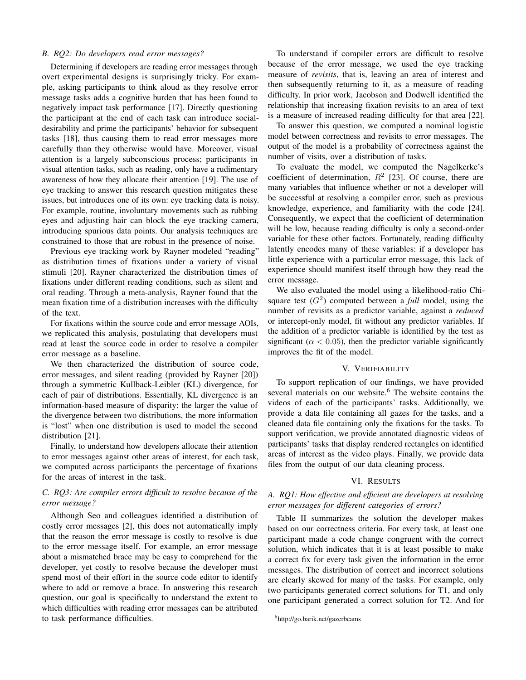#### *B. RQ2: Do developers read error messages?*

Determining if developers are reading error messages through overt experimental designs is surprisingly tricky. For example, asking participants to think aloud as they resolve error message tasks adds a cognitive burden that has been found to negatively impact task performance [17]. Directly questioning the participant at the end of each task can introduce socialdesirability and prime the participants' behavior for subsequent tasks [18], thus causing them to read error messages more carefully than they otherwise would have. Moreover, visual attention is a largely subconscious process; participants in visual attention tasks, such as reading, only have a rudimentary awareness of how they allocate their attention [19]. The use of eye tracking to answer this research question mitigates these issues, but introduces one of its own: eye tracking data is noisy. For example, routine, involuntary movements such as rubbing eyes and adjusting hair can block the eye tracking camera, introducing spurious data points. Our analysis techniques are constrained to those that are robust in the presence of noise.

Previous eye tracking work by Rayner modeled "reading" as distribution times of fixations under a variety of visual stimuli [20]. Rayner characterized the distribution times of fixations under different reading conditions, such as silent and oral reading. Through a meta-analysis, Rayner found that the mean fixation time of a distribution increases with the difficulty of the text.

For fixations within the source code and error message AOIs, we replicated this analysis, postulating that developers must read at least the source code in order to resolve a compiler error message as a baseline.

We then characterized the distribution of source code, error messages, and silent reading (provided by Rayner [20]) through a symmetric Kullback-Leibler (KL) divergence, for each of pair of distributions. Essentially, KL divergence is an information-based measure of disparity: the larger the value of the divergence between two distributions, the more information is "lost" when one distribution is used to model the second distribution [21].

Finally, to understand how developers allocate their attention to error messages against other areas of interest, for each task, we computed across participants the percentage of fixations for the areas of interest in the task.

# *C. RQ3: Are compiler errors difficult to resolve because of the error message?*

Although Seo and colleagues identified a distribution of costly error messages [2], this does not automatically imply that the reason the error message is costly to resolve is due to the error message itself. For example, an error message about a mismatched brace may be easy to comprehend for the developer, yet costly to resolve because the developer must spend most of their effort in the source code editor to identify where to add or remove a brace. In answering this research question, our goal is specifically to understand the extent to which difficulties with reading error messages can be attributed to task performance difficulties.

To understand if compiler errors are difficult to resolve because of the error message, we used the eye tracking measure of *revisits*, that is, leaving an area of interest and then subsequently returning to it, as a measure of reading difficulty. In prior work, Jacobson and Dodwell identified the relationship that increasing fixation revisits to an area of text is a measure of increased reading difficulty for that area [22].

To answer this question, we computed a nominal logistic model between correctness and revisits to error messages. The output of the model is a probability of correctness against the number of visits, over a distribution of tasks.

To evaluate the model, we computed the Nagelkerke's coefficient of determination,  $R^2$  [23]. Of course, there are many variables that influence whether or not a developer will be successful at resolving a compiler error, such as previous knowledge, experience, and familiarity with the code [24]. Consequently, we expect that the coefficient of determination will be low, because reading difficulty is only a second-order variable for these other factors. Fortunately, reading difficulty latently encodes many of these variables: if a developer has little experience with a particular error message, this lack of experience should manifest itself through how they read the error message.

We also evaluated the model using a likelihood-ratio Chisquare test  $(G^2)$  computed between a *full* model, using the number of revisits as a predictor variable, against a *reduced* or intercept-only model, fit without any predictor variables. If the addition of a predictor variable is identified by the test as significant ( $\alpha$  < 0.05), then the predictor variable significantly improves the fit of the model.

## V. VERIFIABILITY

To support replication of our findings, we have provided several materials on our website.<sup>6</sup> The website contains the videos of each of the participants' tasks. Additionally, we provide a data file containing all gazes for the tasks, and a cleaned data file containing only the fixations for the tasks. To support verification, we provide annotated diagnostic videos of participants' tasks that display rendered rectangles on identified areas of interest as the video plays. Finally, we provide data files from the output of our data cleaning process.

## VI. RESULTS

# *A. RQ1: How effective and efficient are developers at resolving error messages for different categories of errors?*

Table II summarizes the solution the developer makes based on our correctness criteria. For every task, at least one participant made a code change congruent with the correct solution, which indicates that it is at least possible to make a correct fix for every task given the information in the error messages. The distribution of correct and incorrect solutions are clearly skewed for many of the tasks. For example, only two participants generated correct solutions for T1, and only one participant generated a correct solution for T2. And for

<sup>6</sup>http://go.barik.net/gazerbeams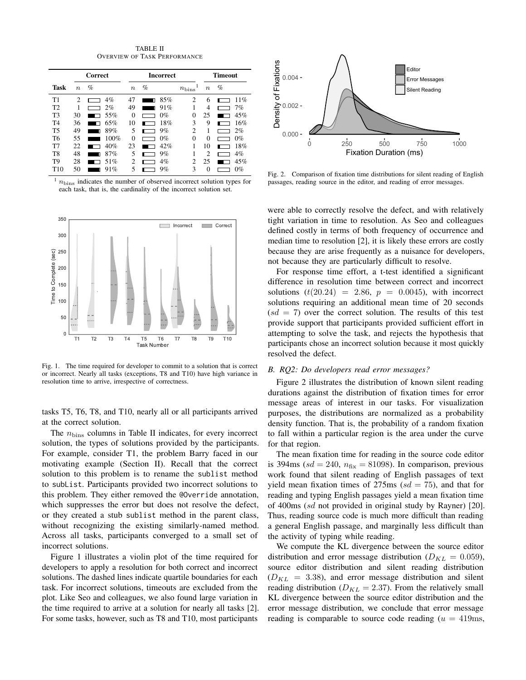TABLE II OVERVIEW OF TASK PERFORMANCE

|                |                  | <b>Correct</b> | <b>Incorrect</b> |          |                   |               | <b>Timeout</b> |  |  |
|----------------|------------------|----------------|------------------|----------|-------------------|---------------|----------------|--|--|
| <b>Task</b>    | $\boldsymbol{n}$ | $\%$           | $\boldsymbol{n}$ | %        | $n_{\text{bins}}$ | $\, n$        | $\%$           |  |  |
| T1             | 2                | 4%             | 47               | 85%<br>П | 2                 | 6             | 11%            |  |  |
| T <sub>2</sub> |                  | 2%             | 49               | 91%      |                   | 4             | 7%             |  |  |
| T <sub>3</sub> | 30               | 55%            | 0                | $0\%$    | 0                 | 25            | 45%            |  |  |
| T <sub>4</sub> | 36               | 65%            | 10               | 18%      | 3                 | 9             | 16%            |  |  |
| <b>T5</b>      | 49               | 89%<br>п       | 5                | 9%       | C                 |               | 2%             |  |  |
| T6             | 55               | 100%           | 0                | $0\%$    | $\Omega$          | 0             | 0%             |  |  |
| T <sub>7</sub> | 22               | 40%            | 23               | 42%      |                   | 10            | 18%            |  |  |
| T <sub>8</sub> | 48               | 87%<br>П       | 5                | 9%       |                   | $\mathcal{D}$ | 4%             |  |  |
| T <sub>9</sub> | 28               | 51%            | っ                | $4\%$    | C                 | 25            | 45%            |  |  |
| T10            | 50               | 91%            |                  | 9%       | 3                 | 0             | 0%             |  |  |

 $\frac{1}{n_{\text{bins}}}$  indicates the number of observed incorrect solution types for each task, that is, the cardinality of the incorrect solution set.



Fig. 1. The time required for developer to commit to a solution that is correct or incorrect. Nearly all tasks (exceptions, T8 and T10) have high variance in resolution time to arrive, irrespective of correctness.

tasks T5, T6, T8, and T10, nearly all or all participants arrived at the correct solution.

The  $n_{\text{bins}}$  columns in Table II indicates, for every incorrect solution, the types of solutions provided by the participants. For example, consider T1, the problem Barry faced in our motivating example (Section II). Recall that the correct solution to this problem is to rename the sublist method to subList. Participants provided two incorrect solutions to this problem. They either removed the @Override annotation, which suppresses the error but does not resolve the defect, or they created a stub sublist method in the parent class, without recognizing the existing similarly-named method. Across all tasks, participants converged to a small set of incorrect solutions.

Figure 1 illustrates a violin plot of the time required for developers to apply a resolution for both correct and incorrect solutions. The dashed lines indicate quartile boundaries for each task. For incorrect solutions, timeouts are excluded from the plot. Like Seo and colleagues, we also found large variation in the time required to arrive at a solution for nearly all tasks [2]. For some tasks, however, such as T8 and T10, most participants



Fig. 2. Comparison of fixation time distributions for silent reading of English passages, reading source in the editor, and reading of error messages.

were able to correctly resolve the defect, and with relatively tight variation in time to resolution. As Seo and colleagues defined costly in terms of both frequency of occurrence and median time to resolution [2], it is likely these errors are costly because they are arise frequently as a nuisance for developers, not because they are particularly difficult to resolve.

For response time effort, a t-test identified a significant difference in resolution time between correct and incorrect solutions  $(t(20.24) = 2.86, p = 0.0045)$ , with incorrect solutions requiring an additional mean time of 20 seconds  $sd = 7$ ) over the correct solution. The results of this test provide support that participants provided sufficient effort in attempting to solve the task, and rejects the hypothesis that participants chose an incorrect solution because it most quickly resolved the defect.

## *B. RQ2: Do developers read error messages?*

Figure 2 illustrates the distribution of known silent reading durations against the distribution of fixation times for error message areas of interest in our tasks. For visualization purposes, the distributions are normalized as a probability density function. That is, the probability of a random fixation to fall within a particular region is the area under the curve for that region.

The mean fixation time for reading in the source code editor is 394ms ( $sd = 240$ ,  $n_{fix} = 81098$ ). In comparison, previous work found that silent reading of English passages of text yield mean fixation times of  $275 \text{ms}$  ( $sd = 75$ ), and that for reading and typing English passages yield a mean fixation time of 400ms (sd not provided in original study by Rayner) [20]. Thus, reading source code is much more difficult than reading a general English passage, and marginally less difficult than the activity of typing while reading.

We compute the KL divergence between the source editor distribution and error message distribution ( $D_{KL} = 0.059$ ), source editor distribution and silent reading distribution  $(D_{KL} = 3.38)$ , and error message distribution and silent reading distribution ( $D_{KL} = 2.37$ ). From the relatively small KL divergence between the source editor distribution and the error message distribution, we conclude that error message reading is comparable to source code reading  $(u = 419 \text{ms})$ ,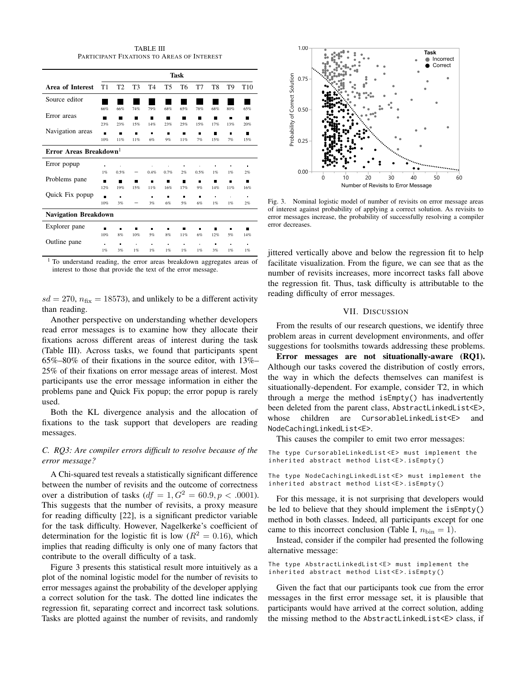TABLE III PARTICIPANT FIXATIONS TO AREAS OF INTEREST

|                                    | <b>Task</b>    |                |                |                |                |     |      |                |                |                 |
|------------------------------------|----------------|----------------|----------------|----------------|----------------|-----|------|----------------|----------------|-----------------|
| Area of Interest                   | T1             | T <sub>2</sub> | T <sub>3</sub> | T <sub>4</sub> | T <sub>5</sub> | T6  | T7   | T8             | T9             | T <sub>10</sub> |
| Source editor                      |                |                |                |                |                |     |      |                |                |                 |
|                                    | 66%            | 66%            | 74%            | 79%            | 68%            | 65% | 78%  | 68%            | 80%            | 65%             |
| Error areas                        | ▬              | ш              | п              | П              | ▬              |     | п    |                | п              | ш               |
|                                    | 23%            | 23%            | 15%            | 14%            | 23%            | 25% | 15%  | 17%            | 13%            | 20%             |
| Navigation areas                   | П              | П              | П              | г              | п              | п   | п    |                | г              | П               |
|                                    | 10%            | 11%            | 11%            | 6%             | 9%             | 11% | 7%   | 15%            | 7%             | 15%             |
| Error Areas Breakdown <sup>1</sup> |                |                |                |                |                |     |      |                |                |                 |
| Error popup                        | $\blacksquare$ |                |                |                |                | n   |      |                |                | n.              |
|                                    | 1%             | 0.5%           |                | 0.4%           | 0.7%           | 2%  | 0.5% | 1%             | 1%             | 2%              |
| Problems pane                      | п              | ▬              | п              | п              | ▬              | ▬   | П    | ┓              | п              | п               |
|                                    | 12%            | 19%            | 15%            | 11%            | 16%            | 17% | 9%   | 14%            | 11%            | 16%             |
| Quick Fix popup                    | г              | n              |                | n              | п              | n,  | п    | $\blacksquare$ | ×              | $\blacksquare$  |
|                                    | 10%            | 3%             |                | 3%             | 6%             | 5%  | 6%   | 1%             | 1%             | 2%              |
| <b>Navigation Breakdown</b>        |                |                |                |                |                |     |      |                |                |                 |
| Explorer pane                      | п              | п              |                | г              | п              |     | ▬    |                | г              | ш               |
|                                    | 10%            | 8%             | 10%            | 5%             | 8%             | 11% | 6%   | 12%            | 5%             | 14%             |
| Outline pane                       | $\blacksquare$ | п              |                | ä              | $\blacksquare$ | ä,  |      | п              | $\blacksquare$ | $\bullet$       |
|                                    | 1%             | 3%             | 1%             | 1%             | 1%             | 1%  | 1%   | 3%             | 1%             | 1%              |

<sup>1</sup> To understand reading, the error areas breakdown aggregates areas of interest to those that provide the text of the error message.

 $sd = 270$ ,  $n_{fix} = 18573$ ), and unlikely to be a different activity than reading.

Another perspective on understanding whether developers read error messages is to examine how they allocate their fixations across different areas of interest during the task (Table III). Across tasks, we found that participants spent 65%–80% of their fixations in the source editor, with 13%– 25% of their fixations on error message areas of interest. Most participants use the error message information in either the problems pane and Quick Fix popup; the error popup is rarely used.

Both the KL divergence analysis and the allocation of fixations to the task support that developers are reading messages.

## *C. RQ3: Are compiler errors difficult to resolve because of the error message?*

A Chi-squared test reveals a statistically significant difference between the number of revisits and the outcome of correctness over a distribution of tasks  $(df = 1, G<sup>2</sup> = 60.9, p < .0001)$ . This suggests that the number of revisits, a proxy measure for reading difficulty [22], is a significant predictor variable for the task difficulty. However, Nagelkerke's coefficient of determination for the logistic fit is low ( $R^2 = 0.16$ ), which implies that reading difficulty is only one of many factors that contribute to the overall difficulty of a task.

Figure 3 presents this statistical result more intuitively as a plot of the nominal logistic model for the number of revisits to error messages against the probability of the developer applying a correct solution for the task. The dotted line indicates the regression fit, separating correct and incorrect task solutions. Tasks are plotted against the number of revisits, and randomly



Fig. 3. Nominal logistic model of number of revisits on error message areas of interest against probability of applying a correct solution. As revisits to error messages increase, the probability of successfully resolving a compiler error decreases.

jittered vertically above and below the regression fit to help facilitate visualization. From the figure, we can see that as the number of revisits increases, more incorrect tasks fall above the regression fit. Thus, task difficulty is attributable to the reading difficulty of error messages.

## VII. DISCUSSION

From the results of our research questions, we identify three problem areas in current development environments, and offer suggestions for toolsmiths towards addressing these problems.

Error messages are not situationally-aware (RQ1). Although our tasks covered the distribution of costly errors, the way in which the defects themselves can manifest is situationally-dependent. For example, consider T2, in which through a merge the method isEmpty() has inadvertently been deleted from the parent class, AbstractLinkedList<E>, whose children are CursorableLinkedList<E> and NodeCachingLinkedList<E>.

This causes the compiler to emit two error messages:

```
The type CursorableLinkedList <E> must implement the
inherited abstract method List<E>.isEmpty()
```
The type NodeCachingLinkedList<E> must implement the inherited abstract method List<E>.isEmpty()

For this message, it is not surprising that developers would be led to believe that they should implement the isEmpty() method in both classes. Indeed, all participants except for one came to this incorrect conclusion (Table I,  $n_{\text{bin}} = 1$ ).

Instead, consider if the compiler had presented the following alternative message:

The type AbstractLinkedList<E> must implement the inherited abstract method List<E>.isEmpty()

Given the fact that our participants took cue from the error messages in the first error message set, it is plausible that participants would have arrived at the correct solution, adding the missing method to the AbstractLinkedList<E> class, if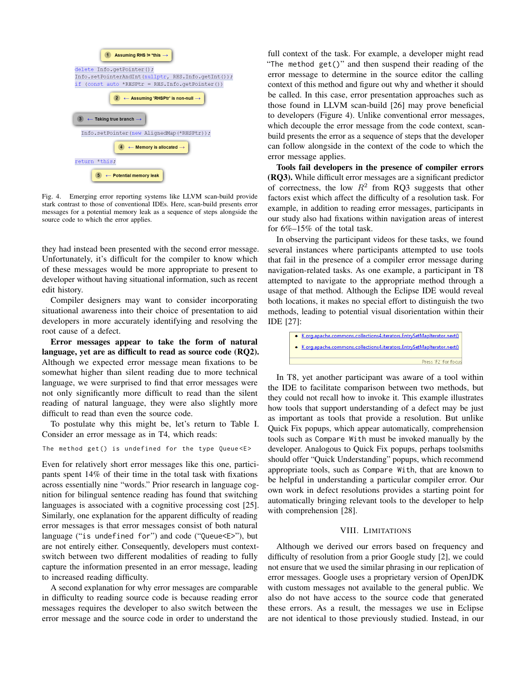

Fig. 4. Emerging error reporting systems like LLVM scan-build provide stark contrast to those of conventional IDEs. Here, scan-build presents error messages for a potential memory leak as a sequence of steps alongside the source code to which the error applies.

they had instead been presented with the second error message. Unfortunately, it's difficult for the compiler to know which of these messages would be more appropriate to present to developer without having situational information, such as recent edit history.

Compiler designers may want to consider incorporating situational awareness into their choice of presentation to aid developers in more accurately identifying and resolving the root cause of a defect.

Error messages appear to take the form of natural language, yet are as difficult to read as source code (RQ2). Although we expected error message mean fixations to be somewhat higher than silent reading due to more technical language, we were surprised to find that error messages were not only significantly more difficult to read than the silent reading of natural language, they were also slightly more difficult to read than even the source code.

To postulate why this might be, let's return to Table I. Consider an error message as in T4, which reads:

```
The method get () is undefined for the type Queue <E>
```
Even for relatively short error messages like this one, participants spent 14% of their time in the total task with fixations across essentially nine "words." Prior research in language cognition for bilingual sentence reading has found that switching languages is associated with a cognitive processing cost [25]. Similarly, one explanation for the apparent difficulty of reading error messages is that error messages consist of both natural language ("is undefined for") and code ("Queue<E>"), but are not entirely either. Consequently, developers must contextswitch between two different modalities of reading to fully capture the information presented in an error message, leading to increased reading difficulty.

A second explanation for why error messages are comparable in difficulty to reading source code is because reading error messages requires the developer to also switch between the error message and the source code in order to understand the

full context of the task. For example, a developer might read "The method get()" and then suspend their reading of the error message to determine in the source editor the calling context of this method and figure out why and whether it should be called. In this case, error presentation approaches such as those found in LLVM scan-build [26] may prove beneficial to developers (Figure 4). Unlike conventional error messages, which decouple the error message from the code context, scanbuild presents the error as a sequence of steps that the developer can follow alongside in the context of the code to which the error message applies.

Tools fail developers in the presence of compiler errors (RQ3). While difficult error messages are a significant predictor of correctness, the low  $R^2$  from RQ3 suggests that other factors exist which affect the difficulty of a resolution task. For example, in addition to reading error messages, participants in our study also had fixations within navigation areas of interest for 6%–15% of the total task.

In observing the participant videos for these tasks, we found several instances where participants attempted to use tools that fail in the presence of a compiler error message during navigation-related tasks. As one example, a participant in T8 attempted to navigate to the appropriate method through a usage of that method. Although the Eclipse IDE would reveal both locations, it makes no special effort to distinguish the two methods, leading to potential visual disorientation within their IDE [27]:

· K org.apache.commons.collections4.iterators.EntrySetMapIterator.next() · K org.apache.commons.collections4.iterators.EntrySetMapIterator.next() Press 'F2' for focus

In T8, yet another participant was aware of a tool within the IDE to facilitate comparison between two methods, but they could not recall how to invoke it. This example illustrates how tools that support understanding of a defect may be just as important as tools that provide a resolution. But unlike Quick Fix popups, which appear automatically, comprehension tools such as Compare With must be invoked manually by the developer. Analogous to Quick Fix popups, perhaps toolsmiths should offer "Quick Understanding" popups, which recommend appropriate tools, such as Compare With, that are known to be helpful in understanding a particular compiler error. Our own work in defect resolutions provides a starting point for automatically bringing relevant tools to the developer to help with comprehension [28].

## VIII. LIMITATIONS

Although we derived our errors based on frequency and difficulty of resolution from a prior Google study [2], we could not ensure that we used the similar phrasing in our replication of error messages. Google uses a proprietary version of OpenJDK with custom messages not available to the general public. We also do not have access to the source code that generated these errors. As a result, the messages we use in Eclipse are not identical to those previously studied. Instead, in our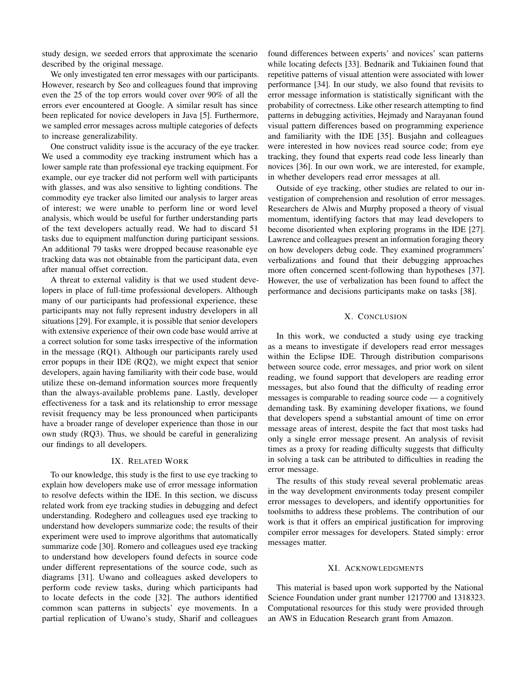study design, we seeded errors that approximate the scenario described by the original message.

We only investigated ten error messages with our participants. However, research by Seo and colleagues found that improving even the 25 of the top errors would cover over 90% of all the errors ever encountered at Google. A similar result has since been replicated for novice developers in Java [5]. Furthermore, we sampled error messages across multiple categories of defects to increase generalizability.

One construct validity issue is the accuracy of the eye tracker. We used a commodity eye tracking instrument which has a lower sample rate than professional eye tracking equipment. For example, our eye tracker did not perform well with participants with glasses, and was also sensitive to lighting conditions. The commodity eye tracker also limited our analysis to larger areas of interest; we were unable to perform line or word level analysis, which would be useful for further understanding parts of the text developers actually read. We had to discard 51 tasks due to equipment malfunction during participant sessions. An additional 79 tasks were dropped because reasonable eye tracking data was not obtainable from the participant data, even after manual offset correction.

A threat to external validity is that we used student developers in place of full-time professional developers. Although many of our participants had professional experience, these participants may not fully represent industry developers in all situations [29]. For example, it is possible that senior developers with extensive experience of their own code base would arrive at a correct solution for some tasks irrespective of the information in the message (RQ1). Although our participants rarely used error popups in their IDE (RQ2), we might expect that senior developers, again having familiarity with their code base, would utilize these on-demand information sources more frequently than the always-available problems pane. Lastly, developer effectiveness for a task and its relationship to error message revisit frequency may be less pronounced when participants have a broader range of developer experience than those in our own study (RQ3). Thus, we should be careful in generalizing our findings to all developers.

## IX. RELATED WORK

To our knowledge, this study is the first to use eye tracking to explain how developers make use of error message information to resolve defects within the IDE. In this section, we discuss related work from eye tracking studies in debugging and defect understanding. Rodeghero and colleagues used eye tracking to understand how developers summarize code; the results of their experiment were used to improve algorithms that automatically summarize code [30]. Romero and colleagues used eye tracking to understand how developers found defects in source code under different representations of the source code, such as diagrams [31]. Uwano and colleagues asked developers to perform code review tasks, during which participants had to locate defects in the code [32]. The authors identified common scan patterns in subjects' eye movements. In a partial replication of Uwano's study, Sharif and colleagues

found differences between experts' and novices' scan patterns while locating defects [33]. Bednarik and Tukiainen found that repetitive patterns of visual attention were associated with lower performance [34]. In our study, we also found that revisits to error message information is statistically significant with the probability of correctness. Like other research attempting to find patterns in debugging activities, Hejmady and Narayanan found visual pattern differences based on programming experience and familiarity with the IDE [35]. Busjahn and colleagues were interested in how novices read source code; from eye tracking, they found that experts read code less linearly than novices [36]. In our own work, we are interested, for example, in whether developers read error messages at all.

Outside of eye tracking, other studies are related to our investigation of comprehension and resolution of error messages. Researchers de Alwis and Murphy proposed a theory of visual momentum, identifying factors that may lead developers to become disoriented when exploring programs in the IDE [27]. Lawrence and colleagues present an information foraging theory on how developers debug code. They examined programmers' verbalizations and found that their debugging approaches more often concerned scent-following than hypotheses [37]. However, the use of verbalization has been found to affect the performance and decisions participants make on tasks [38].

## X. CONCLUSION

In this work, we conducted a study using eye tracking as a means to investigate if developers read error messages within the Eclipse IDE. Through distribution comparisons between source code, error messages, and prior work on silent reading, we found support that developers are reading error messages, but also found that the difficulty of reading error messages is comparable to reading source code — a cognitively demanding task. By examining developer fixations, we found that developers spend a substantial amount of time on error message areas of interest, despite the fact that most tasks had only a single error message present. An analysis of revisit times as a proxy for reading difficulty suggests that difficulty in solving a task can be attributed to difficulties in reading the error message.

The results of this study reveal several problematic areas in the way development environments today present compiler error messages to developers, and identify opportunities for toolsmiths to address these problems. The contribution of our work is that it offers an empirical justification for improving compiler error messages for developers. Stated simply: error messages matter.

#### XI. ACKNOWLEDGMENTS

This material is based upon work supported by the National Science Foundation under grant number 1217700 and 1318323. Computational resources for this study were provided through an AWS in Education Research grant from Amazon.